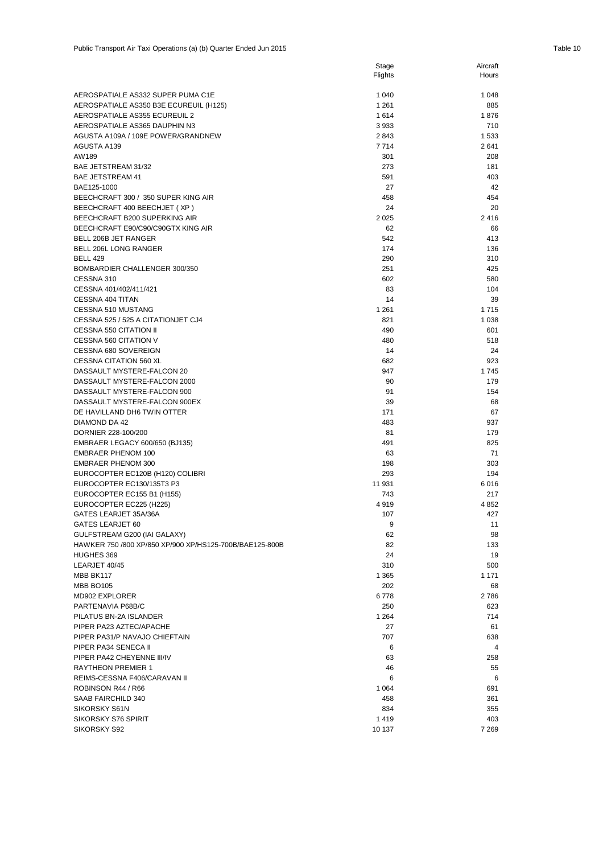|                                                                                         | Flights        | Hours          |
|-----------------------------------------------------------------------------------------|----------------|----------------|
| AEROSPATIALE AS332 SUPER PUMA C1E                                                       | 1 0 4 0        | 1 0 4 8        |
| AEROSPATIALE AS350 B3E ECUREUIL (H125)                                                  | 1 2 6 1        | 885            |
| AEROSPATIALE AS355 ECUREUIL 2                                                           | 1614           | 1876           |
| AEROSPATIALE AS365 DAUPHIN N3                                                           | 3933           | 710            |
| AGUSTA A109A / 109E POWER/GRANDNEW                                                      | 2843           | 1533           |
| AGUSTA A139                                                                             | 7714           | 2641           |
| AW189                                                                                   | 301            | 208            |
| BAE JETSTREAM 31/32                                                                     | 273            | 181            |
| <b>BAE JETSTREAM 41</b>                                                                 | 591            | 403            |
| BAE125-1000                                                                             | 27             | 42             |
| BEECHCRAFT 300 / 350 SUPER KING AIR                                                     | 458            | 454            |
| BEECHCRAFT 400 BEECHJET (XP)                                                            | 24             | 20             |
| BEECHCRAFT B200 SUPERKING AIR                                                           | 2025           | 2416           |
| BEECHCRAFT E90/C90/C90GTX KING AIR                                                      | 62             | 66             |
| BELL 206B JET RANGER                                                                    | 542            | 413            |
| BELL 206L LONG RANGER                                                                   | 174            | 136            |
| <b>BELL 429</b>                                                                         | 290            | 310            |
| BOMBARDIER CHALLENGER 300/350                                                           | 251            | 425            |
| CESSNA 310                                                                              | 602            | 580            |
| CESSNA 401/402/411/421                                                                  | 83             | 104            |
| <b>CESSNA 404 TITAN</b>                                                                 | 14             | 39             |
| CESSNA 510 MUSTANG<br>CESSNA 525 / 525 A CITATIONJET CJ4                                | 1 2 6 1<br>821 | 1715<br>1 0 38 |
| CESSNA 550 CITATION II                                                                  | 490            | 601            |
| CESSNA 560 CITATION V                                                                   | 480            | 518            |
| CESSNA 680 SOVEREIGN                                                                    | 14             | 24             |
| <b>CESSNA CITATION 560 XL</b>                                                           | 682            | 923            |
| DASSAULT MYSTERE-FALCON 20                                                              | 947            | 1745           |
| DASSAULT MYSTERE-FALCON 2000                                                            | 90             | 179            |
| DASSAULT MYSTERE-FALCON 900                                                             | 91             | 154            |
| DASSAULT MYSTERE-FALCON 900EX                                                           | 39             | 68             |
| DE HAVILLAND DH6 TWIN OTTER                                                             | 171            | 67             |
| DIAMOND DA 42                                                                           | 483            | 937            |
| DORNIER 228-100/200                                                                     | 81             | 179            |
| EMBRAER LEGACY 600/650 (BJ135)                                                          | 491            | 825            |
| <b>EMBRAER PHENOM 100</b>                                                               | 63             | 71             |
| <b>EMBRAER PHENOM 300</b>                                                               | 198            | 303            |
| EUROCOPTER EC120B (H120) COLIBRI                                                        | 293            | 194            |
| EUROCOPTER EC130/135T3 P3                                                               | 11 931         | 6016           |
| EUROCOPTER EC155 B1 (H155)                                                              | 743            | 217            |
| EUROCOPTER EC225 (H225)                                                                 | 4919           | 4852           |
| GATES LEARJET 35A/36A                                                                   | 107            | 427            |
| GATES LEARJET 60                                                                        | 9              | 11             |
| GULFSTREAM G200 (IAI GALAXY)<br>HAWKER 750 /800 XP/850 XP/900 XP/HS125-700B/BAE125-800B | 62<br>82       | 98<br>133      |
| HUGHES 369                                                                              | 24             | 19             |
| LEARJET 40/45                                                                           | 310            | 500            |
| MBB BK117                                                                               | 1 3 6 5        | 1 1 7 1        |
| <b>MBB BO105</b>                                                                        | 202            | 68             |
| MD902 EXPLORER                                                                          | 6778           | 2786           |
| PARTENAVIA P68B/C                                                                       | 250            | 623            |
| PILATUS BN-2A ISLANDER                                                                  | 1 2 6 4        | 714            |
| PIPER PA23 AZTEC/APACHE                                                                 | 27             | 61             |
| PIPER PA31/P NAVAJO CHIEFTAIN                                                           | 707            | 638            |
| PIPER PA34 SENECA II                                                                    | 6              | 4              |
| PIPER PA42 CHEYENNE III/IV                                                              | 63             | 258            |
| <b>RAYTHEON PREMIER 1</b>                                                               | 46             | 55             |
| REIMS-CESSNA F406/CARAVAN II                                                            | 6              | 6              |
| ROBINSON R44 / R66                                                                      | 1 0 6 4        | 691            |
| SAAB FAIRCHILD 340                                                                      | 458            | 361            |
| SIKORSKY S61N                                                                           | 834            | 355            |
| SIKORSKY S76 SPIRIT                                                                     | 1419           | 403            |
| SIKORSKY S92                                                                            | 10 137         | 7 269          |

Stage

Aircraft